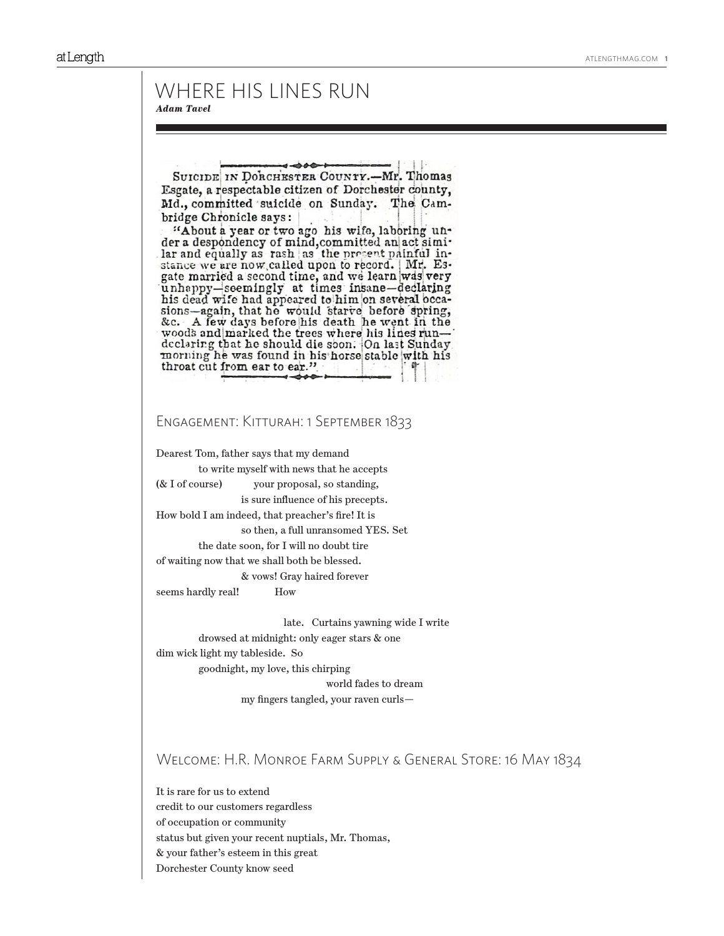# WHERE HIS LINES RUN *Adam Tavel*

SUICIDE IN DORCHESTER COUNTY.-Mr. Thomas Esgate, a respectable citizen of Dorchester county, Md., committed suicide on Sunday. The Cambridge Chronicle says:

"About a year or two ago his wife, laboring under a despondency of mind, committed an act simi-<br>lar and equally as rash as the present painful instance we are now called upon to record. Mr. Esgate married a second time, and we learn was very unhappy-seemingly at times insane-declaring his dead wife had appeared to him on several occasions-again, that he would starve before spring, &c. A few days before his death he went in the woods and marked the trees where his lines rundeclaring that he should die soon. On last Sunday morning he was found in his horse stable with his throat cut from ear to ear."

## Engagement: Kitturah: 1 September 1833

Dearest Tom, father says that my demand to write myself with news that he accepts (& I of course) your proposal, so standing, is sure influence of his precepts. How bold I am indeed, that preacher's fire! It is so then, a full unransomed YES. Set the date soon, for I will no doubt tire of waiting now that we shall both be blessed. & vows! Gray haired forever seems hardly real! How

 late. Curtains yawning wide I write drowsed at midnight: only eager stars & one dim wick light my tableside. So goodnight, my love, this chirping world fades to dream

my fingers tangled, your raven curls—

# Welcome: H.R. Monroe Farm Supply & General Store: 16 May 1834

It is rare for us to extend credit to our customers regardless of occupation or community status but given your recent nuptials, Mr. Thomas, & your father's esteem in this great Dorchester County know seed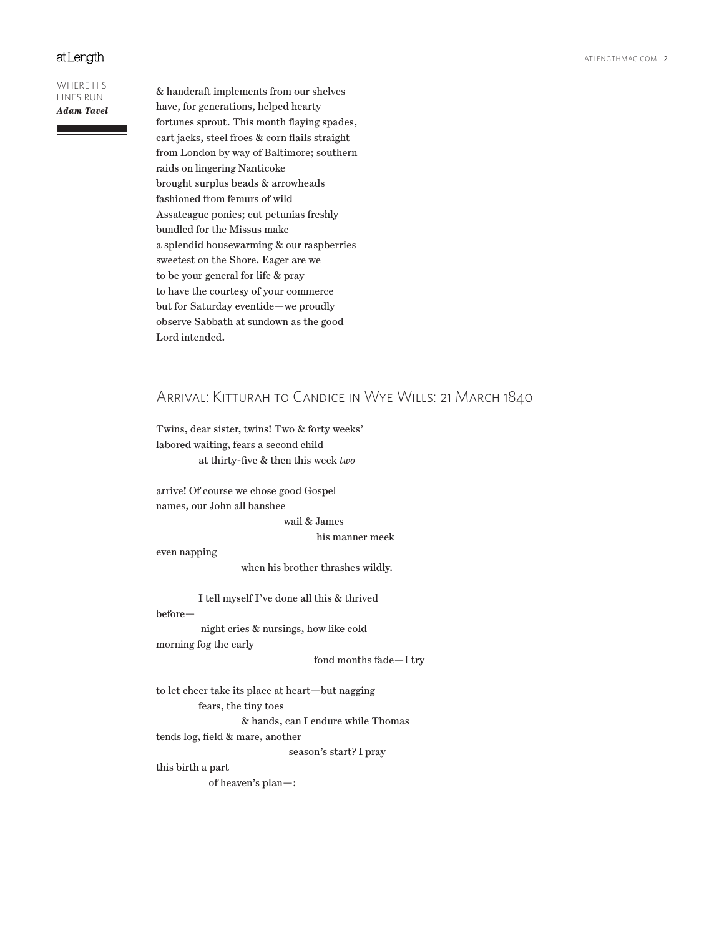#### ATLENGTHMAG.COM 2

#### at Length

WHERE HIS LINES RUN *Adam Tavel*

& handcraft implements from our shelves have, for generations, helped hearty fortunes sprout. This month flaying spades, cart jacks, steel froes & corn flails straight from London by way of Baltimore; southern raids on lingering Nanticoke brought surplus beads & arrowheads fashioned from femurs of wild Assateague ponies; cut petunias freshly bundled for the Missus make a splendid housewarming & our raspberries sweetest on the Shore. Eager are we to be your general for life & pray to have the courtesy of your commerce but for Saturday eventide—we proudly observe Sabbath at sundown as the good Lord intended.

# Arrival: Kitturah to Candice in Wye Wills: 21 March 1840

Twins, dear sister, twins! Two & forty weeks' labored waiting, fears a second child at thirty-five & then this week *two*

arrive! Of course we chose good Gospel names, our John all banshee

wail & James

his manner meek

even napping

when his brother thrashes wildly.

I tell myself I've done all this & thrived

before—

 night cries & nursings, how like cold morning fog the early

fond months fade—I try

to let cheer take its place at heart—but nagging fears, the tiny toes & hands, can I endure while Thomas tends log, field & mare, another

season's start? I pray

this birth a part of heaven's plan—: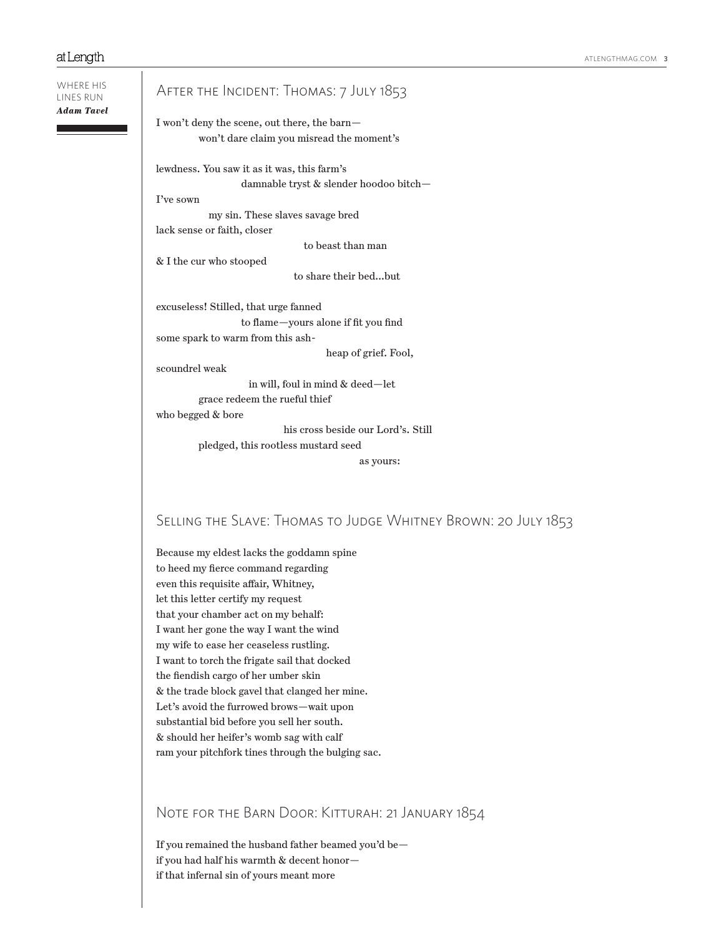$\mathbf{I}$ 

| WHERE HIS<br>Adam Tavel | AFTER THE INCIDENT: THOMAS: 7 JULY 1853                                                   |
|-------------------------|-------------------------------------------------------------------------------------------|
|                         | I won't deny the scene, out there, the barn-<br>won't dare claim you misread the moment's |
|                         | lewdness. You saw it as it was, this farm's<br>damnable tryst & slender hoodoo bitch-     |
|                         | I've sown<br>my sin. These slaves savage bred                                             |
|                         | lack sense or faith, closer                                                               |
|                         | to beast than man                                                                         |
|                         | & I the cur who stooped                                                                   |
|                         | to share their bedbut                                                                     |
|                         | excuseless! Stilled, that urge fanned                                                     |
|                         | to flame-yours alone if fit you find                                                      |
|                         | some spark to warm from this ash-                                                         |
|                         | heap of grief. Fool,                                                                      |
|                         | scoundrel weak                                                                            |
|                         | in will, foul in mind & deed-let                                                          |
|                         | grace redeem the rueful thief                                                             |
|                         | who begged & bore                                                                         |
|                         | his cross beside our Lord's. Still                                                        |
|                         | pledged, this rootless mustard seed                                                       |
|                         | as yours:                                                                                 |
|                         | SELLING THE SLAVE: THOMAS TO JUDGE WHITNEY BROWN: 20 JULY 1853                            |
|                         |                                                                                           |
|                         | Because my eldest lacks the goddamn spine                                                 |
|                         | to heed my fierce command regarding                                                       |
|                         | even this requisite affair, Whitney,                                                      |
|                         | let this letter certify my request                                                        |
|                         | that your chamber act on my behalf:                                                       |
|                         | I want her gone the way I want the wind                                                   |
|                         | my wife to ease her ceaseless rustling.                                                   |
|                         | I want to torch the frigate sail that docked                                              |
|                         | the fiendish cargo of her umber skin                                                      |
|                         | & the trade block gavel that clanged her mine.                                            |
|                         | Let's avoid the furrowed brows-wait upon                                                  |

substantial bid before you sell her south. & should her heifer's womb sag with calf

ram your pitchfork tines through the bulging sac.

# NOTE FOR THE BARN DOOR: KITTURAH: 21 JANUARY 1854

If you remained the husband father beamed you'd be if you had half his warmth & decent honor if that infernal sin of yours meant more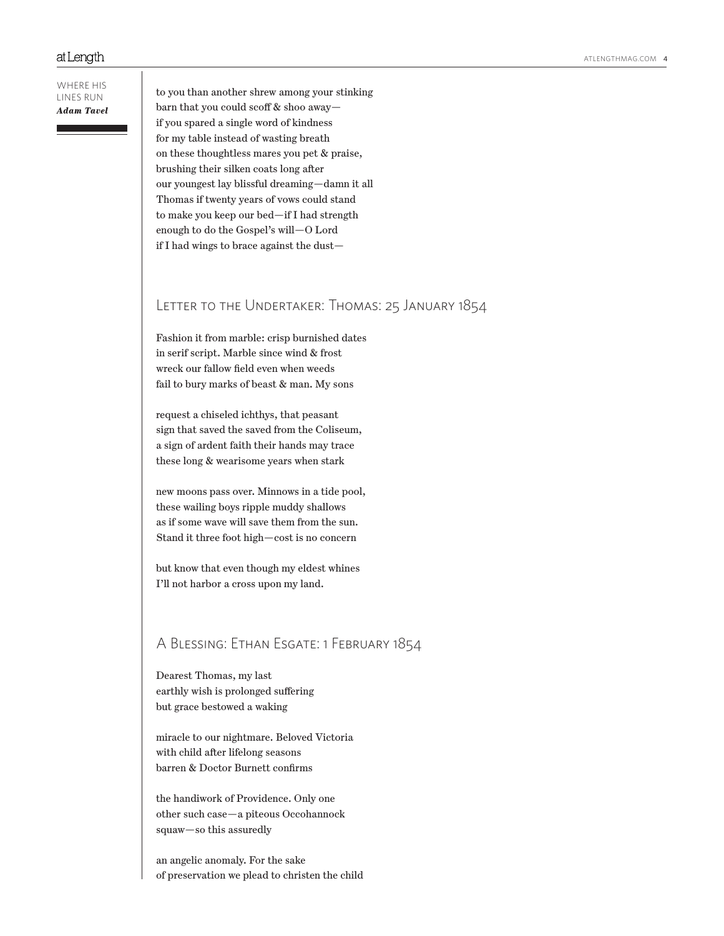WHERE HIS LINES RUN *Adam Tavel*

to you than another shrew among your stinking barn that you could scoff & shoo away if you spared a single word of kindness for my table instead of wasting breath on these thoughtless mares you pet & praise, brushing their silken coats long after our youngest lay blissful dreaming—damn it all Thomas if twenty years of vows could stand to make you keep our bed—if I had strength enough to do the Gospel's will—O Lord if I had wings to brace against the dust—

# Letter to the Undertaker: Thomas: 25 January 1854

Fashion it from marble: crisp burnished dates in serif script. Marble since wind & frost wreck our fallow field even when weeds fail to bury marks of beast & man. My sons

request a chiseled ichthys, that peasant sign that saved the saved from the Coliseum, a sign of ardent faith their hands may trace these long & wearisome years when stark

new moons pass over. Minnows in a tide pool, these wailing boys ripple muddy shallows as if some wave will save them from the sun. Stand it three foot high—cost is no concern

but know that even though my eldest whines I'll not harbor a cross upon my land.

# A Blessing: Ethan Esgate: 1 February 1854

Dearest Thomas, my last earthly wish is prolonged suffering but grace bestowed a waking

miracle to our nightmare. Beloved Victoria with child after lifelong seasons barren & Doctor Burnett confirms

the handiwork of Providence. Only one other such case—a piteous Occohannock squaw—so this assuredly

an angelic anomaly. For the sake of preservation we plead to christen the child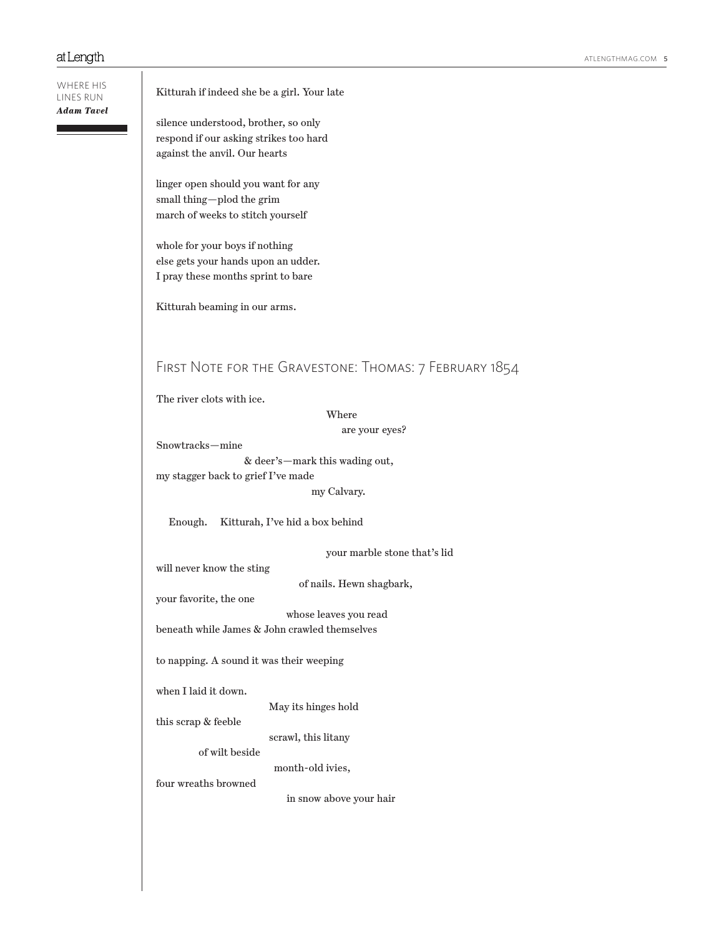| WHERE HIS<br>LINES RUN | Kitturah if indeed she be a girl. Your late                    |
|------------------------|----------------------------------------------------------------|
| Adam Tavel             | silence understood, brother, so only                           |
|                        | respond if our asking strikes too hard                         |
|                        | against the anvil. Our hearts                                  |
|                        | linger open should you want for any                            |
|                        | small thing-plod the grim<br>march of weeks to stitch yourself |
|                        |                                                                |
|                        | whole for your boys if nothing                                 |
|                        | else gets your hands upon an udder.                            |
|                        | I pray these months sprint to bare                             |
|                        | Kitturah beaming in our arms.                                  |
|                        | FIRST NOTE FOR THE GRAVESTONE: THOMAS: 7 FEBRUARY 1854         |
|                        |                                                                |
|                        | The river clots with ice.                                      |
|                        | Where                                                          |
|                        | are your eyes?<br>Snowtracks-mine                              |
|                        | & deer's-mark this wading out,                                 |
|                        | my stagger back to grief I've made                             |
|                        | my Calvary.                                                    |
|                        | Enough.<br>Kitturah, I've hid a box behind                     |
|                        | your marble stone that's lid                                   |
|                        | will never know the sting                                      |
|                        | of nails. Hewn shagbark,                                       |
|                        | your favorite, the one<br>whose leaves you read                |
|                        | beneath while James & John crawled themselves                  |
|                        |                                                                |
|                        | to napping. A sound it was their weeping                       |
|                        | when I laid it down.                                           |
|                        | May its hinges hold                                            |
|                        | this scrap & feeble                                            |
|                        | scrawl, this litany<br>of wilt beside                          |
|                        | month-old ivies,                                               |
|                        | four wreaths browned                                           |
|                        | in snow above your hair                                        |
|                        |                                                                |
|                        |                                                                |
|                        |                                                                |
|                        |                                                                |
|                        |                                                                |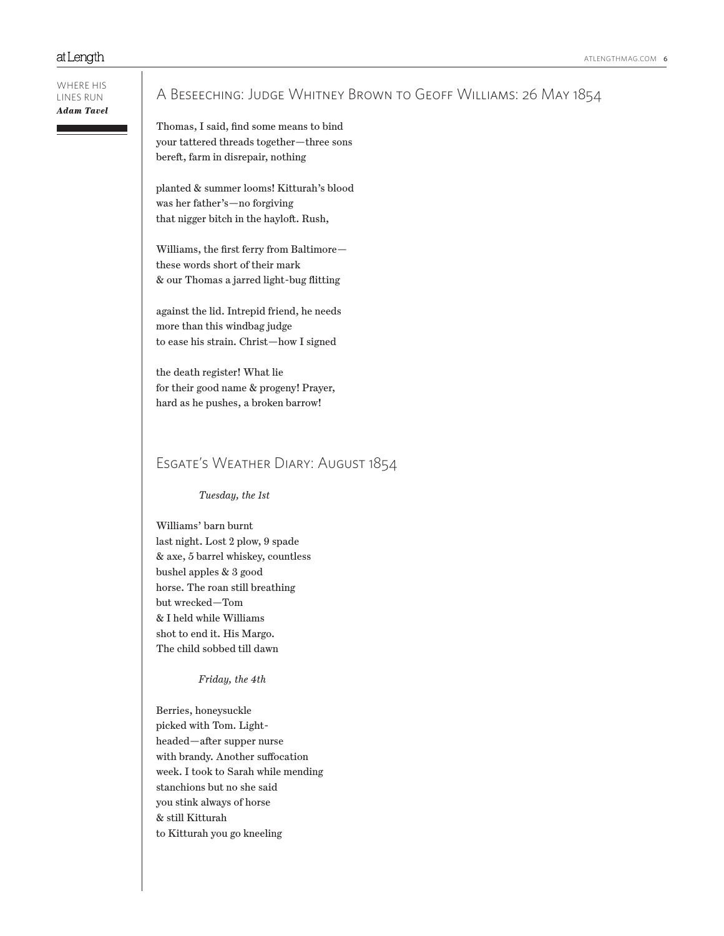#### WHERE HIS LINES RUN *Adam Tavel*

# A Beseeching: Judge Whitney Brown to Geoff Williams: 26 May 1854

Thomas, I said, find some means to bind your tattered threads together—three sons bereft, farm in disrepair, nothing

planted & summer looms! Kitturah's blood was her father's—no forgiving that nigger bitch in the hayloft. Rush,

Williams, the first ferry from Baltimore these words short of their mark & our Thomas a jarred light-bug flitting

against the lid. Intrepid friend, he needs more than this windbag judge to ease his strain. Christ—how I signed

the death register! What lie for their good name & progeny! Prayer, hard as he pushes, a broken barrow!

# Esgate's Weather Diary: August 1854

*Tuesday, the 1st* 

Williams' barn burnt last night. Lost 2 plow, 9 spade & axe, 5 barrel whiskey, countless bushel apples & 3 good horse. The roan still breathing but wrecked—Tom & I held while Williams shot to end it. His Margo. The child sobbed till dawn

## *Friday, the 4th*

Berries, honeysuckle picked with Tom. Lightheaded—after supper nurse with brandy. Another suffocation week. I took to Sarah while mending stanchions but no she said you stink always of horse & still Kitturah to Kitturah you go kneeling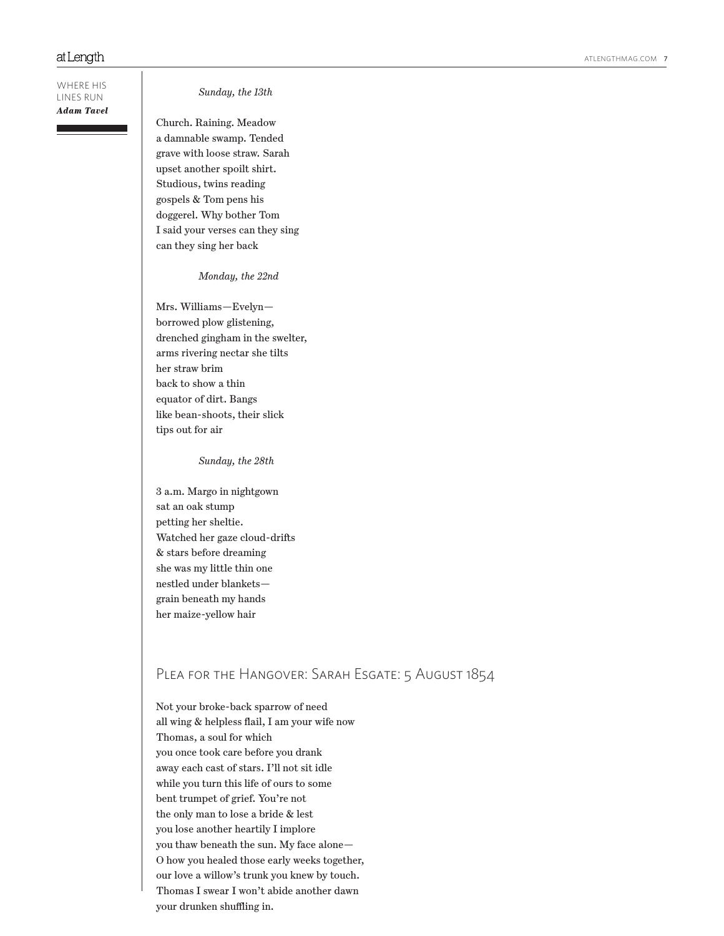WHERE HIS LINES RUN *Adam Tavel*

*Sunday, the 13th* 

Church. Raining. Meadow a damnable swamp. Tended grave with loose straw. Sarah upset another spoilt shirt. Studious, twins reading gospels & Tom pens his doggerel. Why bother Tom I said your verses can they sing can they sing her back

*Monday, the 22nd* 

Mrs. Williams—Evelyn borrowed plow glistening, drenched gingham in the swelter, arms rivering nectar she tilts her straw brim back to show a thin equator of dirt. Bangs like bean-shoots, their slick tips out for air

*Sunday, the 28th* 

3 a.m. Margo in nightgown sat an oak stump petting her sheltie. Watched her gaze cloud-drifts & stars before dreaming she was my little thin one nestled under blankets grain beneath my hands her maize-yellow hair

# PLEA FOR THE HANGOVER: SARAH ESGATE: 5 AUGUST 1854

Not your broke-back sparrow of need all wing & helpless flail, I am your wife now Thomas, a soul for which you once took care before you drank away each cast of stars. I'll not sit idle while you turn this life of ours to some bent trumpet of grief. You're not the only man to lose a bride & lest you lose another heartily I implore you thaw beneath the sun. My face alone— O how you healed those early weeks together, our love a willow's trunk you knew by touch. Thomas I swear I won't abide another dawn your drunken shuffling in.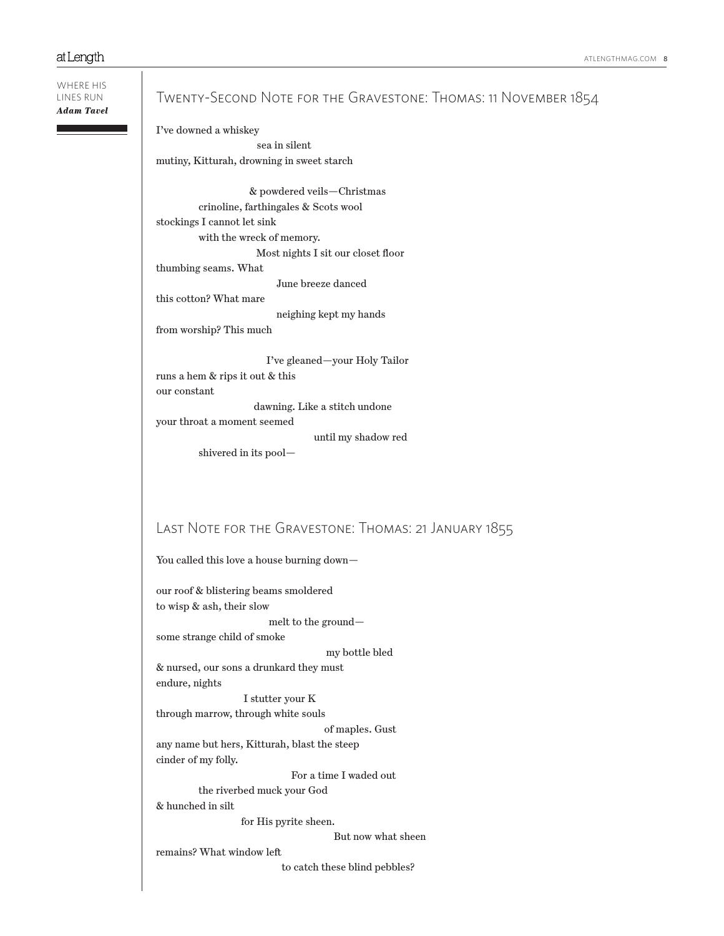WHERE HIS LINES RUN *Adam Tavel*

# Twenty-Second Note for the Gravestone: Thomas: 11 November 1854

I've downed a whiskey sea in silent mutiny, Kitturah, drowning in sweet starch

 & powdered veils—Christmas crinoline, farthingales & Scots wool stockings I cannot let sink with the wreck of memory. Most nights I sit our closet floor thumbing seams. What

June breeze danced

this cotton? What mare

neighing kept my hands

from worship? This much

 I've gleaned—your Holy Tailor runs a hem & rips it out & this our constant dawning. Like a stitch undone

your throat a moment seemed

until my shadow red

shivered in its pool—

# Last Note for the Gravestone: Thomas: 21 January 1855

You called this love a house burning down—

our roof & blistering beams smoldered to wisp & ash, their slow melt to the ground some strange child of smoke my bottle bled & nursed, our sons a drunkard they must endure, nights I stutter your K through marrow, through white souls of maples. Gust any name but hers, Kitturah, blast the steep cinder of my folly. For a time I waded out the riverbed muck your God

& hunched in silt

for His pyrite sheen.

But now what sheen

remains? What window left

to catch these blind pebbles?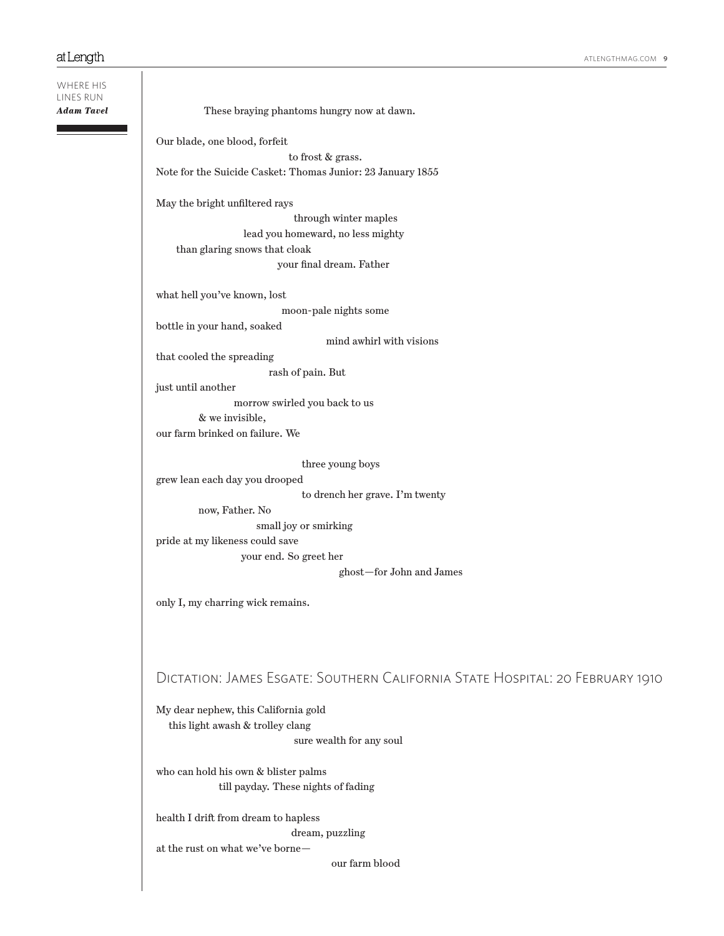| WHERE HIS<br>LINES RUN |                                                                               |
|------------------------|-------------------------------------------------------------------------------|
| <b>Adam Tavel</b>      | These braying phantoms hungry now at dawn.                                    |
|                        | Our blade, one blood, forfeit                                                 |
|                        | to frost & grass.                                                             |
|                        | Note for the Suicide Casket: Thomas Junior: $23$ January $1855\,$             |
|                        | May the bright unfiltered rays                                                |
|                        | through winter maples                                                         |
|                        | lead you homeward, no less mighty<br>than glaring snows that cloak            |
|                        | your final dream. Father                                                      |
|                        |                                                                               |
|                        | what hell you've known, lost                                                  |
|                        | moon-pale nights some                                                         |
|                        | bottle in your hand, soaked                                                   |
|                        | mind awhirl with visions                                                      |
|                        | that cooled the spreading                                                     |
|                        | rash of pain. But                                                             |
|                        | just until another                                                            |
|                        | morrow swirled you back to us                                                 |
|                        | & we invisible,                                                               |
|                        | our farm brinked on failure. We                                               |
|                        | three young boys                                                              |
|                        | grew lean each day you drooped                                                |
|                        | to drench her grave. I'm twenty                                               |
|                        | now, Father. No                                                               |
|                        | small joy or smirking                                                         |
|                        | pride at my likeness could save                                               |
|                        | your end. So greet her                                                        |
|                        | ghost-for John and James                                                      |
|                        |                                                                               |
|                        | only I, my charring wick remains.                                             |
|                        |                                                                               |
|                        | DICTATION: JAMES ESGATE: SOUTHERN CALIFORNIA STATE HOSPITAL: 20 FEBRUARY 1910 |
|                        | My dear nephew, this California gold                                          |
|                        | this light awash & trolley clang<br>sure wealth for any soul                  |
|                        |                                                                               |
|                        | who can hold his own & blister palms<br>till payday. These nights of fading   |
|                        | health I drift from dream to hapless                                          |
|                        | dream, puzzling                                                               |
|                        | at the rust on what we've borne-                                              |
|                        | our farm blood                                                                |